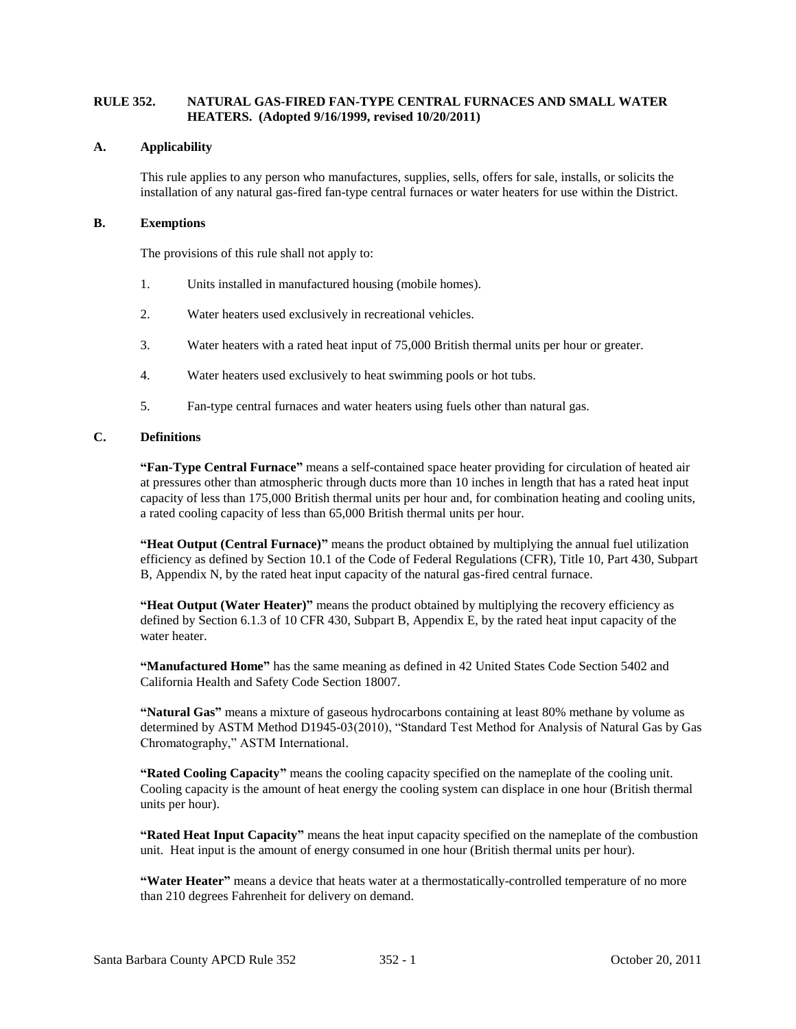### **RULE 352. NATURAL GAS-FIRED FAN-TYPE CENTRAL FURNACES AND SMALL WATER HEATERS. (Adopted 9/16/1999, revised 10/20/2011)**

### **A. Applicability**

This rule applies to any person who manufactures, supplies, sells, offers for sale, installs, or solicits the installation of any natural gas-fired fan-type central furnaces or water heaters for use within the District.

#### **B. Exemptions**

The provisions of this rule shall not apply to:

- 1. Units installed in manufactured housing (mobile homes).
- 2. Water heaters used exclusively in recreational vehicles.
- 3. Water heaters with a rated heat input of 75,000 British thermal units per hour or greater.
- 4. Water heaters used exclusively to heat swimming pools or hot tubs.
- 5. Fan-type central furnaces and water heaters using fuels other than natural gas.

## **C. Definitions**

**"Fan-Type Central Furnace"** means a self-contained space heater providing for circulation of heated air at pressures other than atmospheric through ducts more than 10 inches in length that has a rated heat input capacity of less than 175,000 British thermal units per hour and, for combination heating and cooling units, a rated cooling capacity of less than 65,000 British thermal units per hour.

**"Heat Output (Central Furnace)"** means the product obtained by multiplying the annual fuel utilization efficiency as defined by Section 10.1 of the Code of Federal Regulations (CFR), Title 10, Part 430, Subpart B, Appendix N, by the rated heat input capacity of the natural gas-fired central furnace.

**"Heat Output (Water Heater)"** means the product obtained by multiplying the recovery efficiency as defined by Section 6.1.3 of 10 CFR 430, Subpart B, Appendix E, by the rated heat input capacity of the water heater.

**"Manufactured Home"** has the same meaning as defined in 42 United States Code Section 5402 and California Health and Safety Code Section 18007.

**"Natural Gas"** means a mixture of gaseous hydrocarbons containing at least 80% methane by volume as determined by ASTM Method D1945-03(2010), "Standard Test Method for Analysis of Natural Gas by Gas Chromatography," ASTM International.

**"Rated Cooling Capacity"** means the cooling capacity specified on the nameplate of the cooling unit. Cooling capacity is the amount of heat energy the cooling system can displace in one hour (British thermal units per hour).

**"Rated Heat Input Capacity"** means the heat input capacity specified on the nameplate of the combustion unit. Heat input is the amount of energy consumed in one hour (British thermal units per hour).

**"Water Heater"** means a device that heats water at a thermostatically-controlled temperature of no more than 210 degrees Fahrenheit for delivery on demand.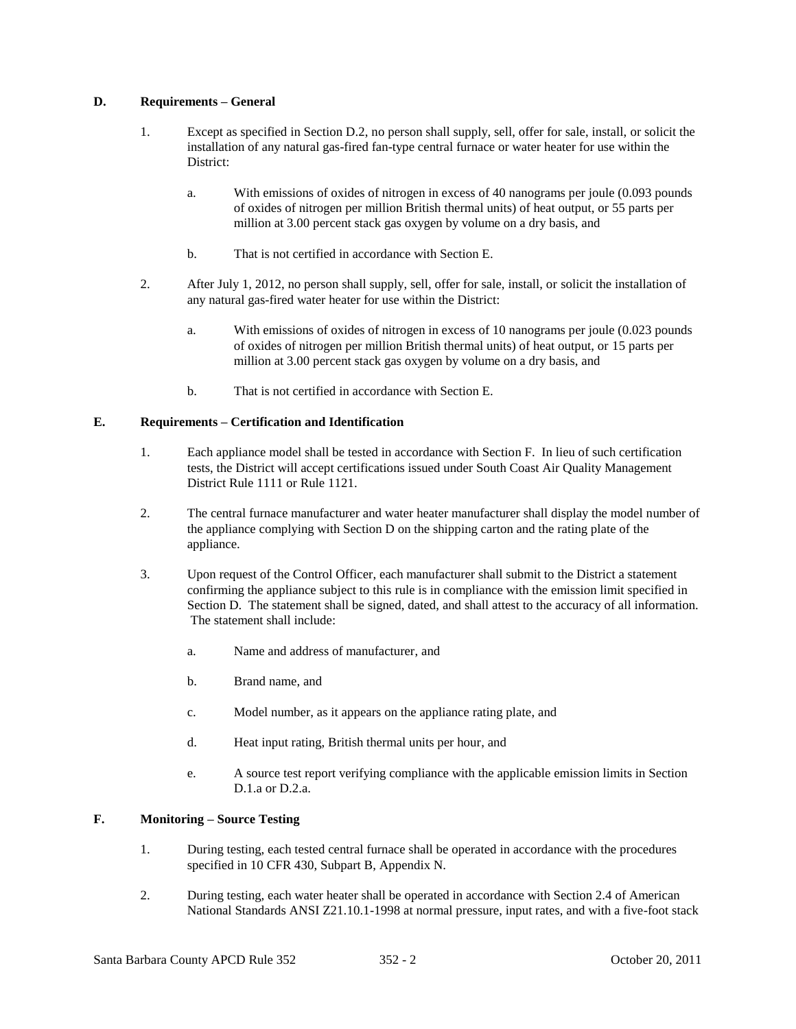### **D. Requirements – General**

- 1. Except as specified in Section D.2, no person shall supply, sell, offer for sale, install, or solicit the installation of any natural gas-fired fan-type central furnace or water heater for use within the District:
	- a. With emissions of oxides of nitrogen in excess of 40 nanograms per joule (0.093 pounds of oxides of nitrogen per million British thermal units) of heat output, or 55 parts per million at 3.00 percent stack gas oxygen by volume on a dry basis, and
	- b. That is not certified in accordance with Section E.
- 2. After July 1, 2012, no person shall supply, sell, offer for sale, install, or solicit the installation of any natural gas-fired water heater for use within the District:
	- a. With emissions of oxides of nitrogen in excess of 10 nanograms per joule (0.023 pounds of oxides of nitrogen per million British thermal units) of heat output, or 15 parts per million at 3.00 percent stack gas oxygen by volume on a dry basis, and
	- b. That is not certified in accordance with Section E.

## **E. Requirements – Certification and Identification**

- 1. Each appliance model shall be tested in accordance with Section F. In lieu of such certification tests, the District will accept certifications issued under South Coast Air Quality Management District Rule 1111 or Rule 1121.
- 2. The central furnace manufacturer and water heater manufacturer shall display the model number of the appliance complying with Section D on the shipping carton and the rating plate of the appliance.
- 3. Upon request of the Control Officer, each manufacturer shall submit to the District a statement confirming the appliance subject to this rule is in compliance with the emission limit specified in Section D. The statement shall be signed, dated, and shall attest to the accuracy of all information. The statement shall include:
	- a. Name and address of manufacturer, and
	- b. Brand name, and
	- c. Model number, as it appears on the appliance rating plate, and
	- d. Heat input rating, British thermal units per hour, and
	- e. A source test report verifying compliance with the applicable emission limits in Section D.1.a or D.2.a.

## **F. Monitoring – Source Testing**

- 1. During testing, each tested central furnace shall be operated in accordance with the procedures specified in 10 CFR 430, Subpart B, Appendix N.
- 2. During testing, each water heater shall be operated in accordance with Section 2.4 of American National Standards ANSI Z21.10.1-1998 at normal pressure, input rates, and with a five-foot stack